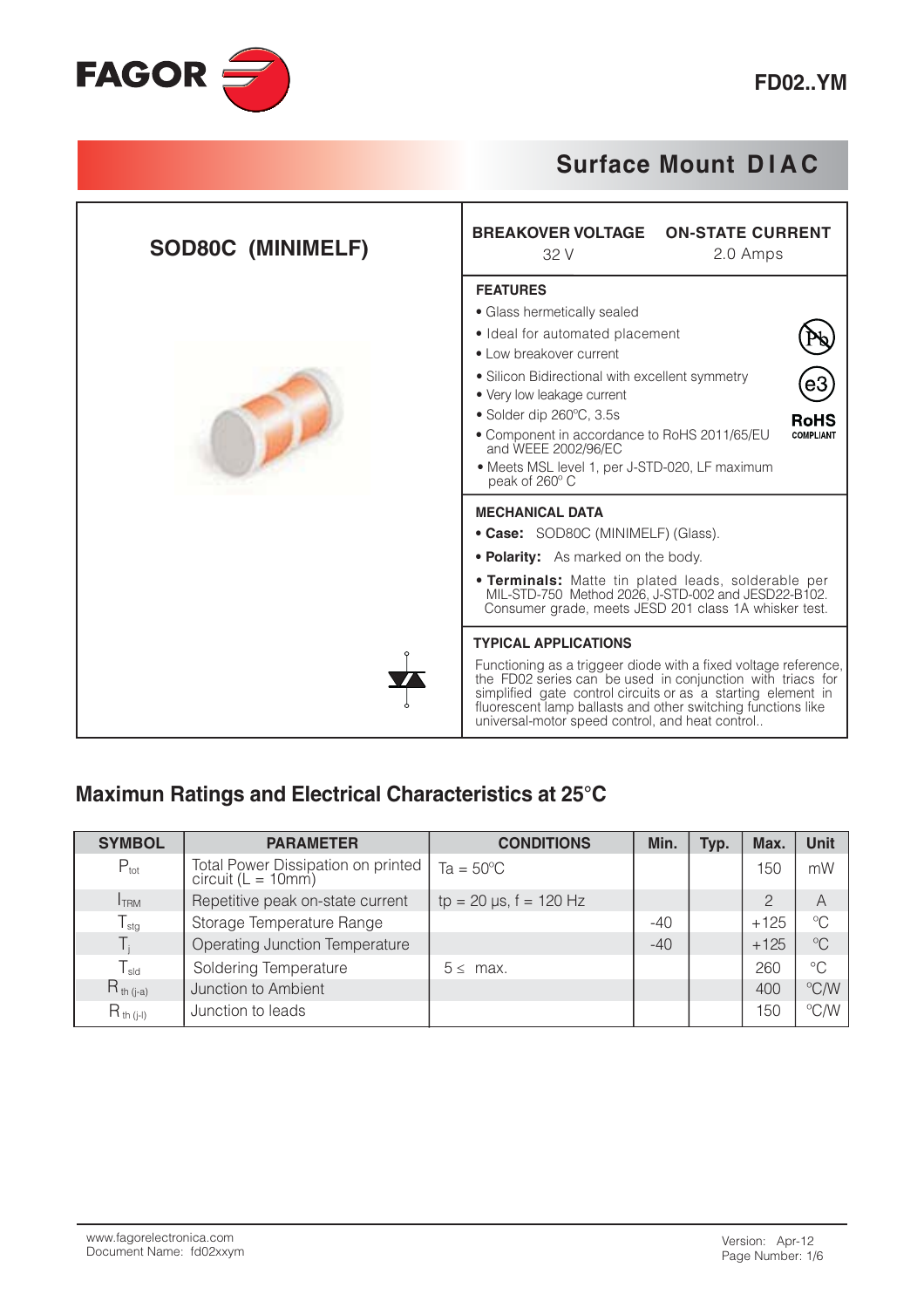

| <b>SOD80C (MINIMELF)</b> | <b>BREAKOVER VOLTAGE</b><br><b>ON-STATE CURRENT</b><br>32 V<br>2.0 Amps                                                                                                                                                                                                                                                                                                                                 |  |  |  |  |
|--------------------------|---------------------------------------------------------------------------------------------------------------------------------------------------------------------------------------------------------------------------------------------------------------------------------------------------------------------------------------------------------------------------------------------------------|--|--|--|--|
|                          | <b>FEATURES</b><br>• Glass hermetically sealed<br>• Ideal for automated placement<br>• Low breakover current<br>• Silicon Bidirectional with excellent symmetry<br>• Very low leakage current<br>· Solder dip 260°C, 3.5s<br><b>RoHS</b><br>• Component in accordance to RoHS 2011/65/EU<br><b>COMPLIANT</b><br>and WEEE 2002/96/EC<br>• Meets MSL level 1, per J-STD-020, LF maximum<br>peak of 260° C |  |  |  |  |
|                          | <b>MECHANICAL DATA</b><br>• Case: SOD80C (MINIMELF) (Glass).<br>• Polarity: As marked on the body.<br>• Terminals: Matte tin plated leads, solderable per MIL-STD-750 Method 2026, J-STD-002 and JESD22-B102.<br>Consumer grade, meets JESD 201 class 1A whisker test.                                                                                                                                  |  |  |  |  |
|                          | <b>TYPICAL APPLICATIONS</b><br>Functioning as a triggeer diode with a fixed voltage reference,<br>the FD02 series can be used in conjunction with triacs for<br>simplified gate control circuits or as a starting element in<br>fluorescent lamp ballasts and other switching functions like<br>universal-motor speed control, and heat control                                                         |  |  |  |  |

### Maximun Ratings and Electrical Characteristics at 25°C

| <b>SYMBOL</b>    | <b>PARAMETER</b>                                         | <b>CONDITIONS</b>            | Min.  | Typ. | Max.          | <b>Unit</b>             |
|------------------|----------------------------------------------------------|------------------------------|-------|------|---------------|-------------------------|
| $P_{\text{tot}}$ | Total Power Dissipation on printed<br>circuit (L = 10mm) | $Ta = 50^{\circ}C$           |       |      | 150           | mW                      |
| <b>I</b> TRM     | Repetitive peak on-state current                         | $tp = 20 \mu s$ , f = 120 Hz |       |      | $\mathcal{P}$ | A                       |
| $T_{\text{stg}}$ | Storage Temperature Range                                |                              | $-40$ |      | $+125$        | $^{\circ}C$             |
|                  | Operating Junction Temperature                           |                              | $-40$ |      | $+125$        | $\mathrm{C}^{\circ}$    |
| $T_{sld}$        | Soldering Temperature                                    | $5 \leq$ max.                |       |      | 260           | $^{\circ}C$             |
| $R_{th (j-a)}$   | Junction to Ambient                                      |                              |       |      | 400           | $\mathrm{C}/\mathrm{W}$ |
| $R_{th (i-l)}$   | Junction to leads                                        |                              |       |      | 150           | °C/W                    |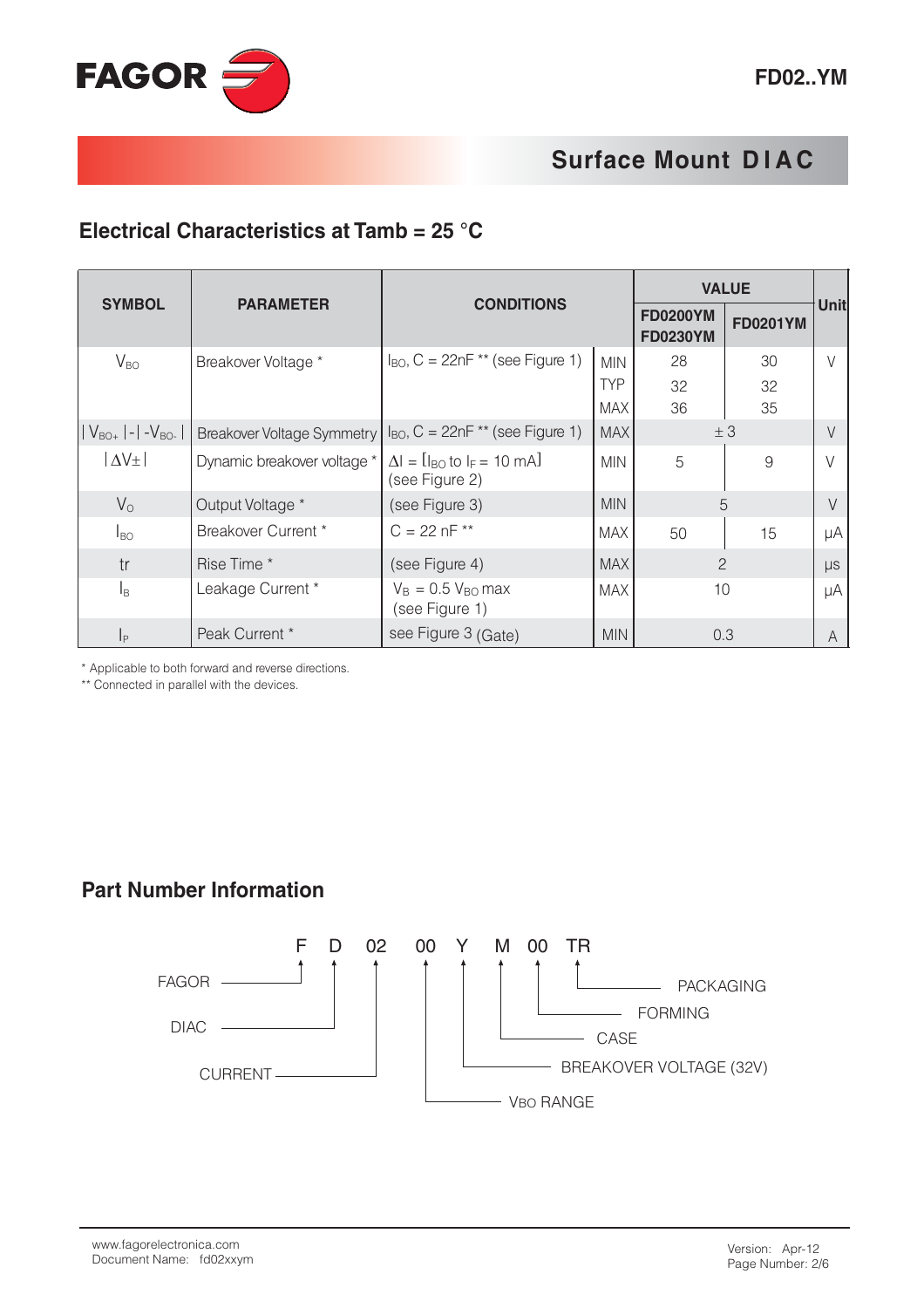### Electrical Characteristics at Tamb =  $25 \text{ }^{\circ}$ C

|                           |                                   | <b>CONDITIONS</b>                                                       |            | <b>VALUE</b>                       |                 |             |
|---------------------------|-----------------------------------|-------------------------------------------------------------------------|------------|------------------------------------|-----------------|-------------|
| <b>SYMBOL</b>             | <b>PARAMETER</b>                  |                                                                         |            | <b>FD0200YM</b><br><b>FD0230YM</b> | <b>FD0201YM</b> | <b>Unit</b> |
| $V_{BO}$                  | Breakover Voltage *               | $I_{BO}$ , C = 22nF ** (see Figure 1)                                   | <b>MIN</b> | 28                                 | 30              | $\setminus$ |
|                           |                                   |                                                                         | <b>TYP</b> | 32                                 | 32              |             |
|                           |                                   |                                                                         | <b>MAX</b> | 36                                 | 35              |             |
| $ V_{BO+} $ - $ V_{BO-} $ | <b>Breakover Voltage Symmetry</b> | $I_{BO}$ , C = 22nF ** (see Figure 1)                                   | <b>MAX</b> | ±3                                 |                 |             |
| $\Delta V_{\pm}$          | Dynamic breakover voltage *       | $\Delta I = [I_{BO} \text{ to } I_F = 10 \text{ mA}]$<br>(see Figure 2) | <b>MIN</b> | 5                                  | 9               |             |
| $V_{\rm O}$               | Output Voltage *                  | (see Figure 3)                                                          | <b>MIN</b> |                                    | 5               | V           |
| $I_{BO}$                  | Breakover Current *               | $C = 22 nF$ **                                                          | MAX        | 50                                 | 15              | μA          |
| tr                        | Rise Time *                       | (see Figure 4)                                                          | <b>MAX</b> | $\overline{2}$                     |                 | $\mu s$     |
| l <sub>B</sub>            | Leakage Current *                 | $V_B = 0.5 V_{BO}$ max<br>(see Figure 1)                                | <b>MAX</b> | 10                                 |                 | μA          |
| $\vert_{\mathsf{P}}$      | Peak Current *                    | see Figure 3 (Gate)                                                     | <b>MIN</b> | 0.3                                |                 | A           |

\* Applicable to both forward and reverse directions.

\*\* Connected in parallel with the devices.

#### **Part Number Information**

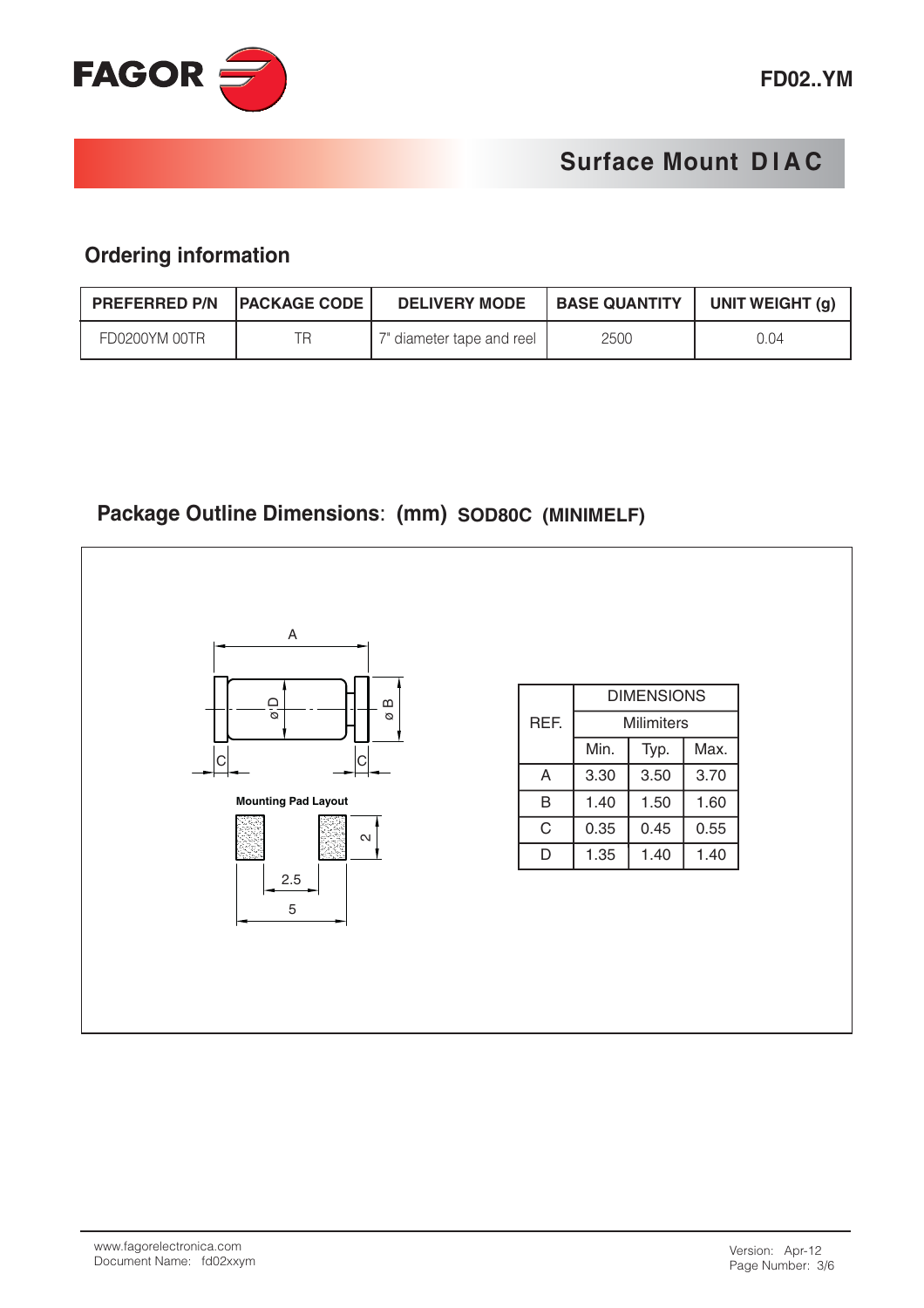

#### **Ordering information**

| <b>PREFERRED P/N PACKAGE CODE</b> | <b>DELIVERY MODE</b>      | <b>BASE QUANTITY</b> | UNIT WEIGHT (g) |
|-----------------------------------|---------------------------|----------------------|-----------------|
| FD0200YM 00TR                     | 7" diameter tape and reel | 2500                 | 0.04            |

### Package Outline Dimensions: (mm) SOD80C (MINIMELF)

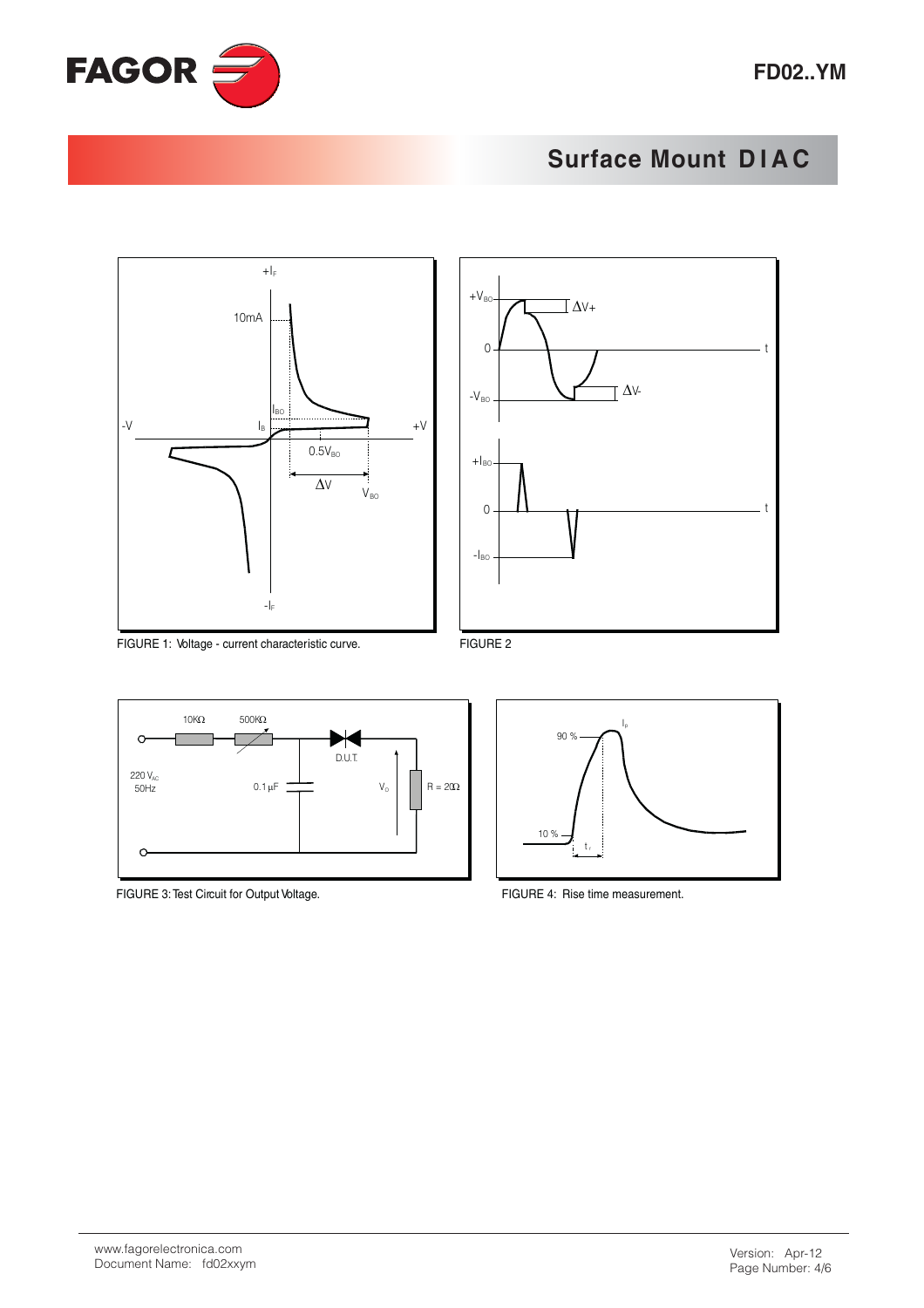



FIGURE 1: Voltage - current characteristic curve.



 $\bar{I}_p$ 

FIGURE 2



FIGURE 3: Test Circuit for Output Voltage.



90 %

 $10%$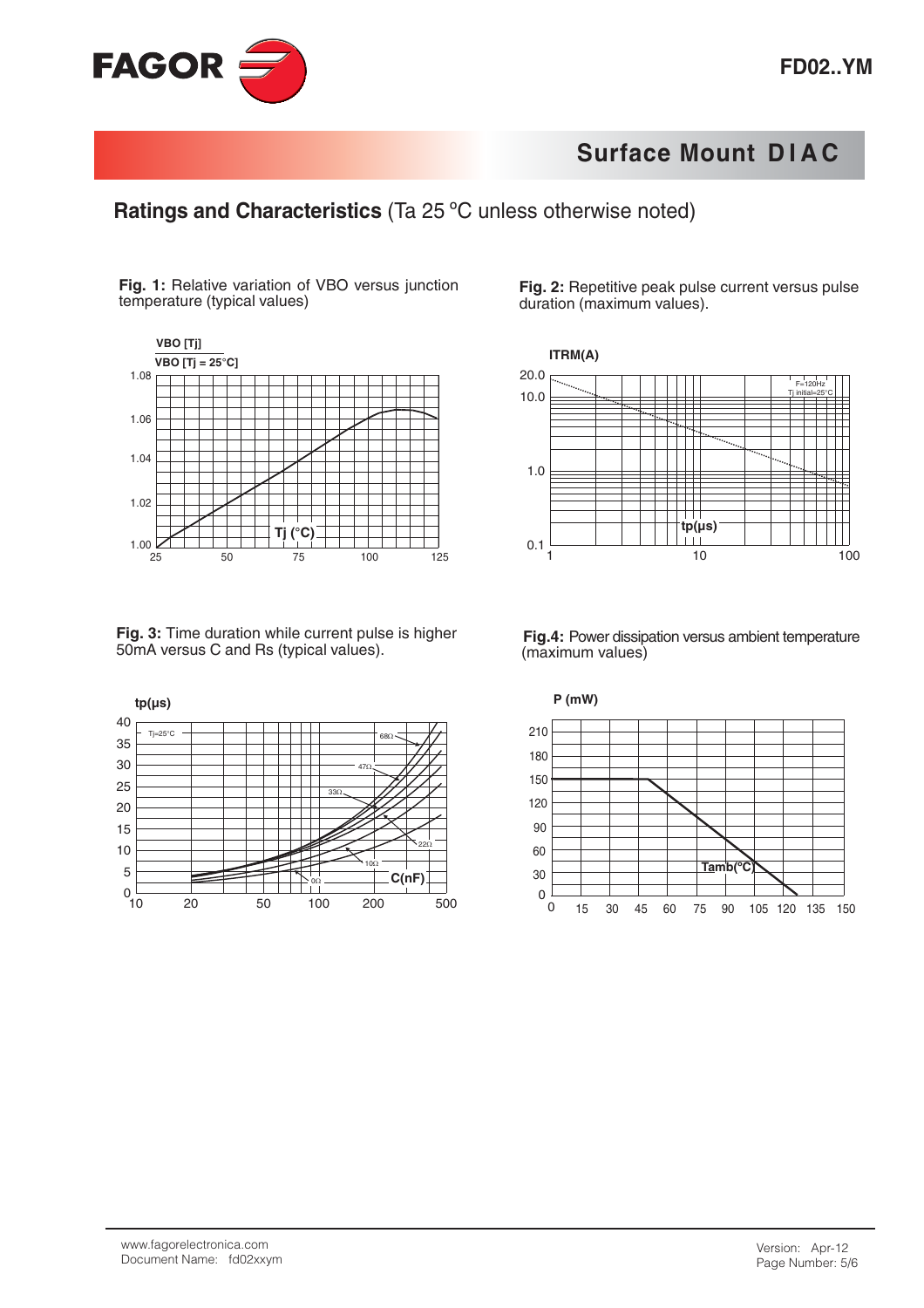



Fig. 1: Relative variation of VBO versus junction temperature (typical values)



Fig. 3: Time duration while current pulse is higher 50mA versus C and Rs (typical values).



Fig. 2: Repetitive peak pulse current versus pulse duration (maximum values).



Fig.4: Power dissipation versus ambient temperature (maximum values)